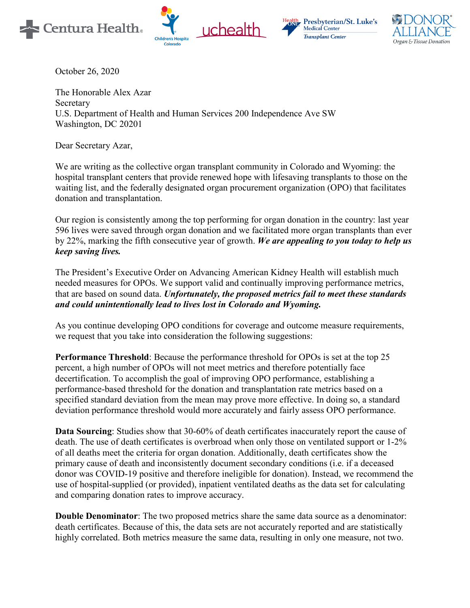







October 26, 2020

The Honorable Alex Azar Secretary U.S. Department of Health and Human Services 200 Independence Ave SW Washington, DC 20201

Dear Secretary Azar,

We are writing as the collective organ transplant community in Colorado and Wyoming: the hospital transplant centers that provide renewed hope with lifesaving transplants to those on the waiting list, and the federally designated organ procurement organization (OPO) that facilitates donation and transplantation.

Our region is consistently among the top performing for organ donation in the country: last year 596 lives were saved through organ donation and we facilitated more organ transplants than ever by 22%, marking the fifth consecutive year of growth. *We are appealing to you today to help us keep saving lives.*

The President's Executive Order on Advancing American Kidney Health will establish much needed measures for OPOs. We support valid and continually improving performance metrics, that are based on sound data. *Unfortunately, the proposed metrics fail to meet these standards and could unintentionally lead to lives lost in Colorado and Wyoming.*

As you continue developing OPO conditions for coverage and outcome measure requirements, we request that you take into consideration the following suggestions:

**Performance Threshold**: Because the performance threshold for OPOs is set at the top 25 percent, a high number of OPOs will not meet metrics and therefore potentially face decertification. To accomplish the goal of improving OPO performance, establishing a performance-based threshold for the donation and transplantation rate metrics based on a specified standard deviation from the mean may prove more effective. In doing so, a standard deviation performance threshold would more accurately and fairly assess OPO performance.

**Data Sourcing**: Studies show that 30-60% of death certificates inaccurately report the cause of death. The use of death certificates is overbroad when only those on ventilated support or 1-2% of all deaths meet the criteria for organ donation. Additionally, death certificates show the primary cause of death and inconsistently document secondary conditions (i.e. if a deceased donor was COVID-19 positive and therefore ineligible for donation). Instead, we recommend the use of hospital-supplied (or provided), inpatient ventilated deaths as the data set for calculating and comparing donation rates to improve accuracy.

**Double Denominator**: The two proposed metrics share the same data source as a denominator: death certificates. Because of this, the data sets are not accurately reported and are statistically highly correlated. Both metrics measure the same data, resulting in only one measure, not two.